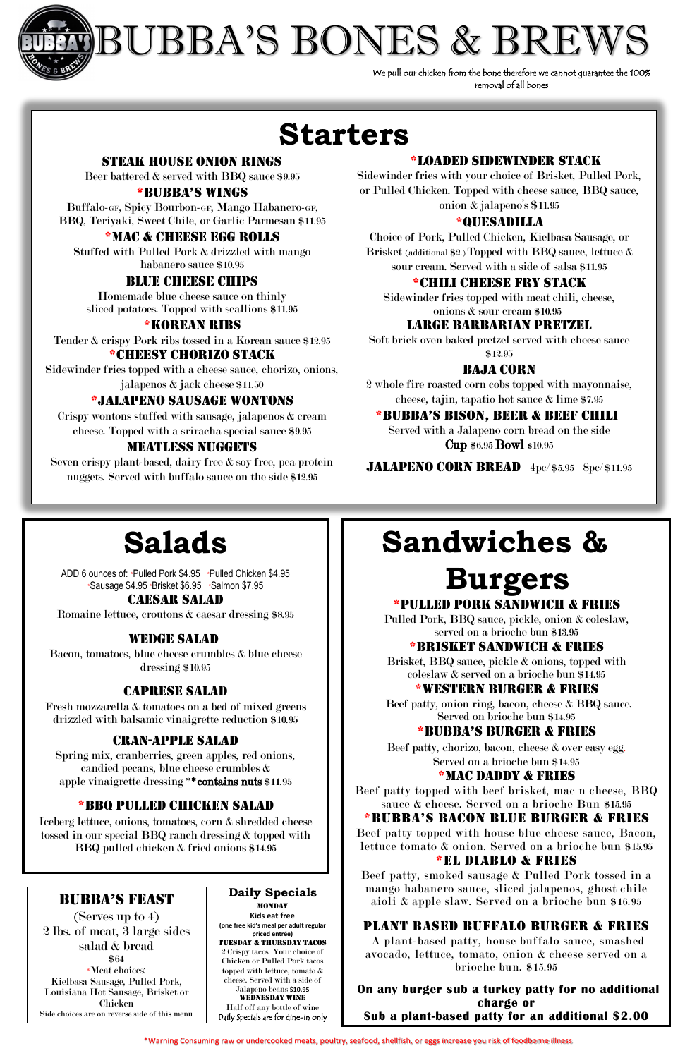

l

# BUBBA'S BONES & BREW

**Daily Specials MONDAY Kids eat free (one free kid's meal per adult regular priced entrée)** Tuesday & Thursday TACOs 2 Crispy tacos. Your choice of Chicken or Pulled Pork tacos topped with lettuce, tomato & cheese. Served with a side of Jalapeno beans **\$10.95** Wednesday WINE Half off any bottle of wine Daily Specials are for dine-in only

# **Sandwiches &**

# **Burgers**

#### \*Pulled pork Sandwich & fries

Pulled Pork, BBQ sauce, pickle, onion & coleslaw, served on a brioche bun \$13.95

#### \*Brisket sandwich & fries

Brisket, BBQ sauce, pickle & onions, topped with coleslaw & served on a brioche bun \$14.95

#### \*Western burger & Fries

Beef patty, onion ring, bacon, cheese & BBQ sauce. Served on brioche bun \$14.95

#### \*bubba's burger & fries

Beef patty, chorizo, bacon, cheese & over easy egg. Served on a brioche bun \$14.95

#### \*Mac daddy & fries

Beef patty topped with beef brisket, mac n cheese, BBQ sauce & cheese. Served on a brioche Bun \$15.95 \*bubba's bacon Blue burger & fries

Beef patty topped with house blue cheese sauce, Bacon, lettuce tomato & onion. Served on a brioche bun \$15.95

#### \*El Diablo & fries

Beef patty, smoked sausage & Pulled Pork tossed in a mango habanero sauce, sliced jalapenos, ghost chile aioli & apple slaw. Served on a brioche bun \$16.95

#### PLANT BASED buffalo burger & Fries

A plant-based patty, house buffalo sauce, smashed avocado, lettuce, tomato, onion & cheese served on a brioche bun. \$15.95

**On any burger sub a turkey patty for no additional charge or Sub a plant-based patty for an additional \$2.00**

#### STEAK HOUSE onion rings

Beer battered & served with BBQ sauce \$9.95

#### \*bubba's Wings

Buffalo-GF, Spicy Bourbon-GF, Mango Habanero-GF, BBQ, Teriyaki, Sweet Chile, or Garlic Parmesan \$11.95

#### \*Mac & cheese egg rolls

Stuffed with Pulled Pork & drizzled with mango habanero sauce \$10.95

#### Blue cheese chips

Homemade blue cheese sauce on thinly sliced potatoes. Topped with scallions \$11.95

#### \*Korean ribs

Tender & crispy Pork ribs tossed in a Korean sauce \$12.95

#### \*Cheesy Chorizo Stack

Sidewinder fries topped with a cheese sauce, chorizo, onions, jalapenos & jack cheese \$11.50

#### \*Jalapeno sausage wontons

Crispy wontons stuffed with sausage, jalapenos & cream cheese. Topped with a sriracha special sauce \$9.95

#### MEATLESS NUGGETS

Seven crispy plant-based, dairy free & soy free, pea protein nuggets. Served with buffalo sauce on the side \$12.95

We pull our chicken from the bone therefore we cannot guarantee the 100% removal of all bones

## **Starters**

#### \*LOADED sidewinder STACK

Sidewinder fries with your choice of Brisket, Pulled Pork, or Pulled Chicken. Topped with cheese sauce, BBQ sauce, onion & jalapeno's \$11.95

#### \*QUESADILLA

Choice of Pork, Pulled Chicken, Kielbasa Sausage, or Brisket (additional \$2.) Topped with BBQ sauce, lettuce & sour cream. Served with a side of salsa \$11.95

#### \*chili cheese fry stack

Sidewinder fries topped with meat chili, cheese, onions & sour cream \$10.95

#### Large Barbarian PRETZEL

Soft brick oven baked pretzel served with cheese sauce \$12.95

#### Baja corn

2 whole fire roasted corn cobs topped with mayonnaise, cheese, tajin, tapatio hot sauce & lime \$7.95

#### \*bubba's bison, beer & Beef Chili

Served with a Jalapeno corn bread on the side Cup \$6.95 Bowl \$10.95

JALAPENO CORN BREAD 4pc/\$5.95 8pc/\$11.95

# **Salads**

ADD 6 ounces of: \*Pulled Pork \$4.95 \*Pulled Chicken \$4.95 \*Sausage \$4.95 \*Brisket \$6.95 \*Salmon \$7.95

#### Caesar salad

Romaine lettuce, croutons & caesar dressing \$8.95

#### Wedge Salad

Bacon, tomatoes, blue cheese crumbles & blue cheese dressing \$10.95

#### Caprese salad

Fresh mozzarella & tomatoes on a bed of mixed greens drizzled with balsamic vinaigrette reduction \$10.95

#### Cran-apple salad

Spring mix, cranberries, green apples, red onions, candied pecans, blue cheese crumbles & apple vinaigrette dressing \*\*contains nuts \$11.95

#### \*BBQ pulled Chicken Salad

Iceberg lettuce, onions, tomatoes, corn & shredded cheese tossed in our special BBQ ranch dressing & topped with BBQ pulled chicken & fried onions \$14.95

#### bubba's FeasT

(Serves up to 4) 2 lbs. of meat, 3 large sides salad & bread \$64 \*Meat choices: Kielbasa Sausage, Pulled Pork, Louisiana Hot Sausage, Brisket or Chicken Side choices are on reverse side of this menu